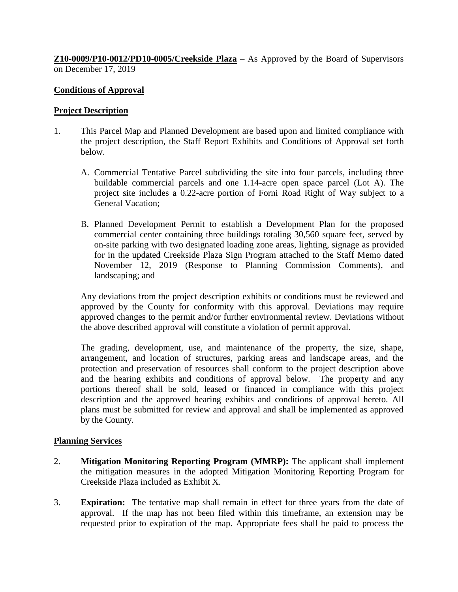**Z10-0009/P10-0012/PD10-0005/Creekside Plaza** – As Approved by the Board of Supervisors on December 17, 2019

# **Conditions of Approval**

### **Project Description**

- 1. This Parcel Map and Planned Development are based upon and limited compliance with the project description, the Staff Report Exhibits and Conditions of Approval set forth below.
	- A. Commercial Tentative Parcel subdividing the site into four parcels, including three buildable commercial parcels and one 1.14-acre open space parcel (Lot A). The project site includes a 0.22-acre portion of Forni Road Right of Way subject to a General Vacation;
	- B. Planned Development Permit to establish a Development Plan for the proposed commercial center containing three buildings totaling 30,560 square feet, served by on-site parking with two designated loading zone areas, lighting, signage as provided for in the updated Creekside Plaza Sign Program attached to the Staff Memo dated November 12, 2019 (Response to Planning Commission Comments), and landscaping; and

Any deviations from the project description exhibits or conditions must be reviewed and approved by the County for conformity with this approval. Deviations may require approved changes to the permit and/or further environmental review. Deviations without the above described approval will constitute a violation of permit approval.

The grading, development, use, and maintenance of the property, the size, shape, arrangement, and location of structures, parking areas and landscape areas, and the protection and preservation of resources shall conform to the project description above and the hearing exhibits and conditions of approval below. The property and any portions thereof shall be sold, leased or financed in compliance with this project description and the approved hearing exhibits and conditions of approval hereto. All plans must be submitted for review and approval and shall be implemented as approved by the County.

# **Planning Services**

- 2. **Mitigation Monitoring Reporting Program (MMRP):** The applicant shall implement the mitigation measures in the adopted Mitigation Monitoring Reporting Program for Creekside Plaza included as Exhibit X.
- 3. **Expiration:** The tentative map shall remain in effect for three years from the date of approval. If the map has not been filed within this timeframe, an extension may be requested prior to expiration of the map. Appropriate fees shall be paid to process the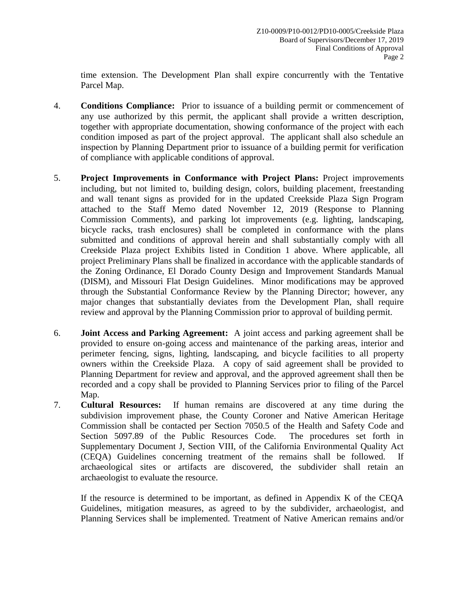time extension. The Development Plan shall expire concurrently with the Tentative Parcel Map.

- 4. **Conditions Compliance:** Prior to issuance of a building permit or commencement of any use authorized by this permit, the applicant shall provide a written description, together with appropriate documentation, showing conformance of the project with each condition imposed as part of the project approval. The applicant shall also schedule an inspection by Planning Department prior to issuance of a building permit for verification of compliance with applicable conditions of approval.
- 5. **Project Improvements in Conformance with Project Plans:** Project improvements including, but not limited to, building design, colors, building placement, freestanding and wall tenant signs as provided for in the updated Creekside Plaza Sign Program attached to the Staff Memo dated November 12, 2019 (Response to Planning Commission Comments), and parking lot improvements (e.g. lighting, landscaping, bicycle racks, trash enclosures) shall be completed in conformance with the plans submitted and conditions of approval herein and shall substantially comply with all Creekside Plaza project Exhibits listed in Condition 1 above. Where applicable, all project Preliminary Plans shall be finalized in accordance with the applicable standards of the Zoning Ordinance, El Dorado County Design and Improvement Standards Manual (DISM), and Missouri Flat Design Guidelines. Minor modifications may be approved through the Substantial Conformance Review by the Planning Director; however, any major changes that substantially deviates from the Development Plan, shall require review and approval by the Planning Commission prior to approval of building permit.
- 6. **Joint Access and Parking Agreement:** A joint access and parking agreement shall be provided to ensure on-going access and maintenance of the parking areas, interior and perimeter fencing, signs, lighting, landscaping, and bicycle facilities to all property owners within the Creekside Plaza. A copy of said agreement shall be provided to Planning Department for review and approval, and the approved agreement shall then be recorded and a copy shall be provided to Planning Services prior to filing of the Parcel Map.
- 7. **Cultural Resources:** If human remains are discovered at any time during the subdivision improvement phase, the County Coroner and Native American Heritage Commission shall be contacted per Section 7050.5 of the Health and Safety Code and Section 5097.89 of the Public Resources Code. The procedures set forth in Supplementary Document J, Section VIII, of the California Environmental Quality Act (CEQA) Guidelines concerning treatment of the remains shall be followed. If archaeological sites or artifacts are discovered, the subdivider shall retain an archaeologist to evaluate the resource.

If the resource is determined to be important, as defined in Appendix K of the CEQA Guidelines, mitigation measures, as agreed to by the subdivider, archaeologist, and Planning Services shall be implemented. Treatment of Native American remains and/or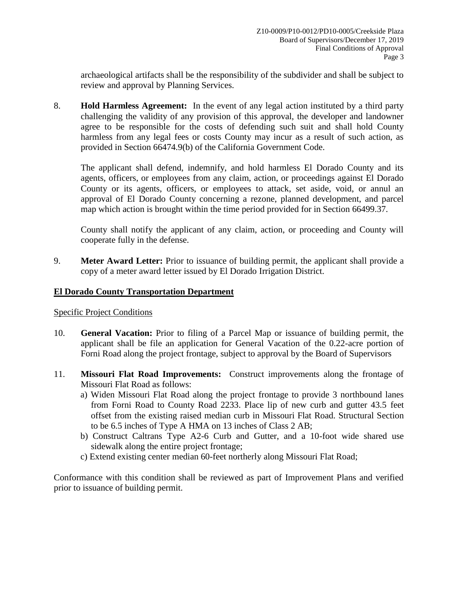archaeological artifacts shall be the responsibility of the subdivider and shall be subject to review and approval by Planning Services.

8. **Hold Harmless Agreement:** In the event of any legal action instituted by a third party challenging the validity of any provision of this approval, the developer and landowner agree to be responsible for the costs of defending such suit and shall hold County harmless from any legal fees or costs County may incur as a result of such action, as provided in Section 66474.9(b) of the California Government Code.

The applicant shall defend, indemnify, and hold harmless El Dorado County and its agents, officers, or employees from any claim, action, or proceedings against El Dorado County or its agents, officers, or employees to attack, set aside, void, or annul an approval of El Dorado County concerning a rezone, planned development, and parcel map which action is brought within the time period provided for in Section 66499.37.

County shall notify the applicant of any claim, action, or proceeding and County will cooperate fully in the defense.

9. **Meter Award Letter:** Prior to issuance of building permit, the applicant shall provide a copy of a meter award letter issued by El Dorado Irrigation District.

### **El Dorado County Transportation Department**

Specific Project Conditions

- 10. **General Vacation:** Prior to filing of a Parcel Map or issuance of building permit, the applicant shall be file an application for General Vacation of the 0.22-acre portion of Forni Road along the project frontage, subject to approval by the Board of Supervisors
- 11. **Missouri Flat Road Improvements:** Construct improvements along the frontage of Missouri Flat Road as follows:
	- a) Widen Missouri Flat Road along the project frontage to provide 3 northbound lanes from Forni Road to County Road 2233. Place lip of new curb and gutter 43.5 feet offset from the existing raised median curb in Missouri Flat Road. Structural Section to be 6.5 inches of Type A HMA on 13 inches of Class 2 AB;
	- b) Construct Caltrans Type A2-6 Curb and Gutter, and a 10-foot wide shared use sidewalk along the entire project frontage;
	- c) Extend existing center median 60-feet northerly along Missouri Flat Road;

Conformance with this condition shall be reviewed as part of Improvement Plans and verified prior to issuance of building permit.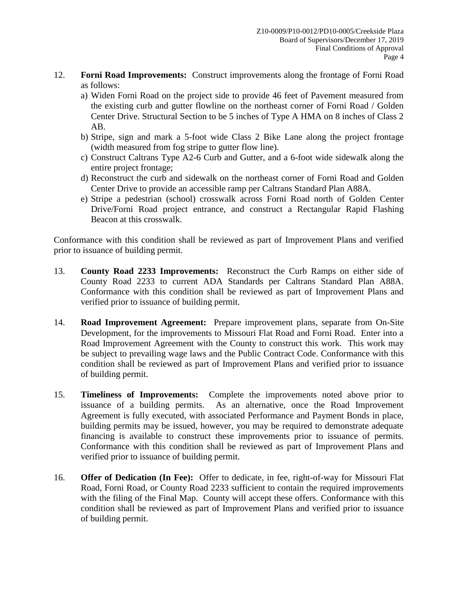- 12. **Forni Road Improvements:** Construct improvements along the frontage of Forni Road as follows:
	- a) Widen Forni Road on the project side to provide 46 feet of Pavement measured from the existing curb and gutter flowline on the northeast corner of Forni Road / Golden Center Drive. Structural Section to be 5 inches of Type A HMA on 8 inches of Class 2 AB.
	- b) Stripe, sign and mark a 5-foot wide Class 2 Bike Lane along the project frontage (width measured from fog stripe to gutter flow line).
	- c) Construct Caltrans Type A2-6 Curb and Gutter, and a 6-foot wide sidewalk along the entire project frontage;
	- d) Reconstruct the curb and sidewalk on the northeast corner of Forni Road and Golden Center Drive to provide an accessible ramp per Caltrans Standard Plan A88A.
	- e) Stripe a pedestrian (school) crosswalk across Forni Road north of Golden Center Drive/Forni Road project entrance, and construct a Rectangular Rapid Flashing Beacon at this crosswalk.

Conformance with this condition shall be reviewed as part of Improvement Plans and verified prior to issuance of building permit.

- 13. **County Road 2233 Improvements:** Reconstruct the Curb Ramps on either side of County Road 2233 to current ADA Standards per Caltrans Standard Plan A88A. Conformance with this condition shall be reviewed as part of Improvement Plans and verified prior to issuance of building permit.
- 14. **Road Improvement Agreement:** Prepare improvement plans, separate from On-Site Development, for the improvements to Missouri Flat Road and Forni Road. Enter into a Road Improvement Agreement with the County to construct this work. This work may be subject to prevailing wage laws and the Public Contract Code. Conformance with this condition shall be reviewed as part of Improvement Plans and verified prior to issuance of building permit.
- 15. **Timeliness of Improvements:** Complete the improvements noted above prior to issuance of a building permits. As an alternative, once the Road Improvement Agreement is fully executed, with associated Performance and Payment Bonds in place, building permits may be issued, however, you may be required to demonstrate adequate financing is available to construct these improvements prior to issuance of permits. Conformance with this condition shall be reviewed as part of Improvement Plans and verified prior to issuance of building permit.
- 16. **Offer of Dedication (In Fee):** Offer to dedicate, in fee, right-of-way for Missouri Flat Road, Forni Road, or County Road 2233 sufficient to contain the required improvements with the filing of the Final Map. County will accept these offers. Conformance with this condition shall be reviewed as part of Improvement Plans and verified prior to issuance of building permit.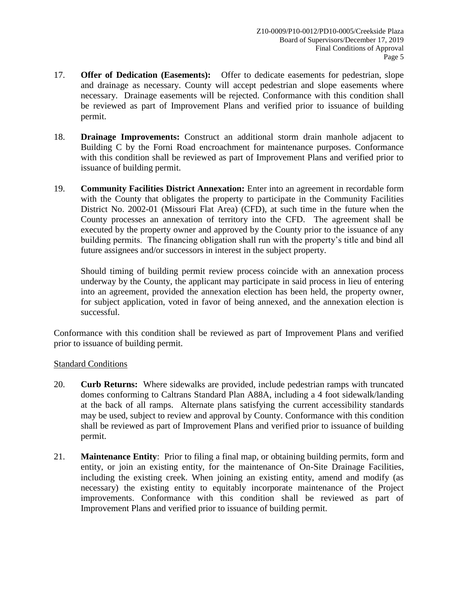- 17. **Offer of Dedication (Easements):** Offer to dedicate easements for pedestrian, slope and drainage as necessary. County will accept pedestrian and slope easements where necessary. Drainage easements will be rejected. Conformance with this condition shall be reviewed as part of Improvement Plans and verified prior to issuance of building permit.
- 18. **Drainage Improvements:** Construct an additional storm drain manhole adjacent to Building C by the Forni Road encroachment for maintenance purposes. Conformance with this condition shall be reviewed as part of Improvement Plans and verified prior to issuance of building permit.
- 19. **Community Facilities District Annexation:** Enter into an agreement in recordable form with the County that obligates the property to participate in the Community Facilities District No. 2002-01 (Missouri Flat Area) (CFD), at such time in the future when the County processes an annexation of territory into the CFD. The agreement shall be executed by the property owner and approved by the County prior to the issuance of any building permits. The financing obligation shall run with the property's title and bind all future assignees and/or successors in interest in the subject property.

Should timing of building permit review process coincide with an annexation process underway by the County, the applicant may participate in said process in lieu of entering into an agreement, provided the annexation election has been held, the property owner, for subject application, voted in favor of being annexed, and the annexation election is successful.

Conformance with this condition shall be reviewed as part of Improvement Plans and verified prior to issuance of building permit.

# Standard Conditions

- 20. **Curb Returns:** Where sidewalks are provided, include pedestrian ramps with truncated domes conforming to Caltrans Standard Plan A88A, including a 4 foot sidewalk/landing at the back of all ramps. Alternate plans satisfying the current accessibility standards may be used, subject to review and approval by County. Conformance with this condition shall be reviewed as part of Improvement Plans and verified prior to issuance of building permit.
- 21. **Maintenance Entity**: Prior to filing a final map, or obtaining building permits, form and entity, or join an existing entity, for the maintenance of On-Site Drainage Facilities, including the existing creek. When joining an existing entity, amend and modify (as necessary) the existing entity to equitably incorporate maintenance of the Project improvements. Conformance with this condition shall be reviewed as part of Improvement Plans and verified prior to issuance of building permit.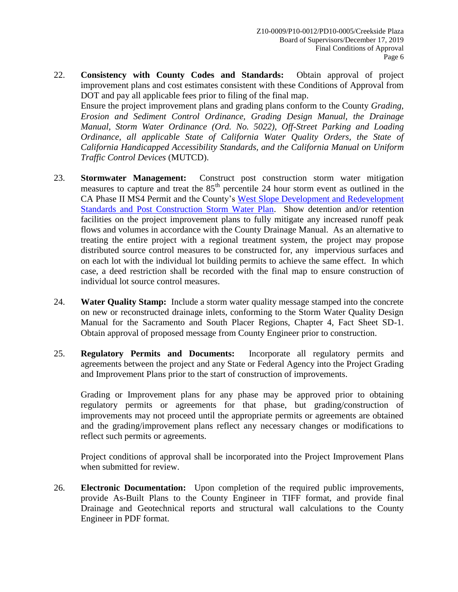22. **Consistency with County Codes and Standards:** Obtain approval of project improvement plans and cost estimates consistent with these Conditions of Approval from DOT and pay all applicable fees prior to filing of the final map.

Ensure the project improvement plans and grading plans conform to the County *Grading, Erosion and Sediment Control Ordinance, Grading Design Manual, the Drainage Manual, Storm Water Ordinance (Ord. No. 5022), Off-Street Parking and Loading Ordinance, all applicable State of California Water Quality Orders, the State of California Handicapped Accessibility Standards, and the California Manual on Uniform Traffic Control Devices* (MUTCD).

- 23. **Stormwater Management:** Construct post construction storm water mitigation measures to capture and treat the  $85<sup>th</sup>$  percentile 24 hour storm event as outlined in the CA Phase II MS4 Permit and the County's [West Slope Development and Redevelopment](http://www.edcgov.us/LongRangePlanning/StormWaterManagement/West_Slope_Development_and_Redevelopment_Standards.aspx)  [Standards and Post Construction Storm Water Plan.](http://www.edcgov.us/LongRangePlanning/StormWaterManagement/West_Slope_Development_and_Redevelopment_Standards.aspx) Show detention and/or retention facilities on the project improvement plans to fully mitigate any increased runoff peak flows and volumes in accordance with the County Drainage Manual. As an alternative to treating the entire project with a regional treatment system, the project may propose distributed source control measures to be constructed for, any impervious surfaces and on each lot with the individual lot building permits to achieve the same effect. In which case, a deed restriction shall be recorded with the final map to ensure construction of individual lot source control measures.
- 24. **Water Quality Stamp:** Include a storm water quality message stamped into the concrete on new or reconstructed drainage inlets, conforming to the Storm Water Quality Design Manual for the Sacramento and South Placer Regions, Chapter 4, Fact Sheet SD-1. Obtain approval of proposed message from County Engineer prior to construction.
- 25. **Regulatory Permits and Documents:** Incorporate all regulatory permits and agreements between the project and any State or Federal Agency into the Project Grading and Improvement Plans prior to the start of construction of improvements.

Grading or Improvement plans for any phase may be approved prior to obtaining regulatory permits or agreements for that phase, but grading/construction of improvements may not proceed until the appropriate permits or agreements are obtained and the grading/improvement plans reflect any necessary changes or modifications to reflect such permits or agreements.

Project conditions of approval shall be incorporated into the Project Improvement Plans when submitted for review.

26. **Electronic Documentation:** Upon completion of the required public improvements, provide As-Built Plans to the County Engineer in TIFF format, and provide final Drainage and Geotechnical reports and structural wall calculations to the County Engineer in PDF format.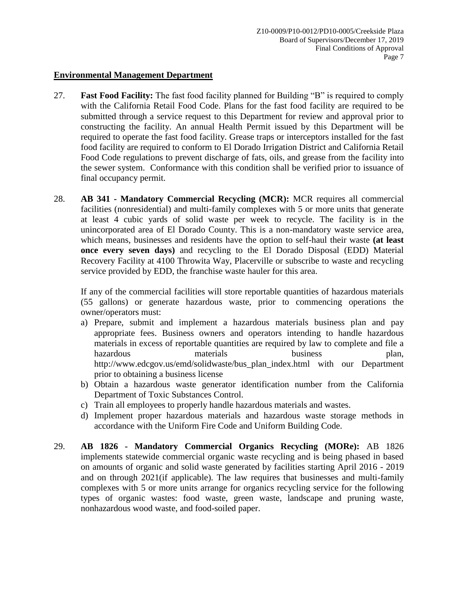#### **Environmental Management Department**

- 27. **Fast Food Facility:** The fast food facility planned for Building "B" is required to comply with the California Retail Food Code. Plans for the fast food facility are required to be submitted through a service request to this Department for review and approval prior to constructing the facility. An annual Health Permit issued by this Department will be required to operate the fast food facility. Grease traps or interceptors installed for the fast food facility are required to conform to El Dorado Irrigation District and California Retail Food Code regulations to prevent discharge of fats, oils, and grease from the facility into the sewer system. Conformance with this condition shall be verified prior to issuance of final occupancy permit.
- 28. **AB 341 - Mandatory Commercial Recycling (MCR):** MCR requires all commercial facilities (nonresidential) and multi-family complexes with 5 or more units that generate at least 4 cubic yards of solid waste per week to recycle. The facility is in the unincorporated area of El Dorado County. This is a non-mandatory waste service area, which means, businesses and residents have the option to self-haul their waste **(at least once every seven days)** and recycling to the El Dorado Disposal (EDD) Material Recovery Facility at 4100 Throwita Way, Placerville or subscribe to waste and recycling service provided by EDD, the franchise waste hauler for this area.

If any of the commercial facilities will store reportable quantities of hazardous materials (55 gallons) or generate hazardous waste, prior to commencing operations the owner/operators must:

- a) Prepare, submit and implement a hazardous materials business plan and pay appropriate fees. Business owners and operators intending to handle hazardous materials in excess of reportable quantities are required by law to complete and file a hazardous materials business plan, http://www.edcgov.us/emd/solidwaste/bus\_plan\_index.html with our Department prior to obtaining a business license
- b) Obtain a hazardous waste generator identification number from the California Department of Toxic Substances Control.
- c) Train all employees to properly handle hazardous materials and wastes.
- d) Implement proper hazardous materials and hazardous waste storage methods in accordance with the Uniform Fire Code and Uniform Building Code.
- 29. **AB 1826 - Mandatory Commercial Organics Recycling (MORe):** AB 1826 implements statewide commercial organic waste recycling and is being phased in based on amounts of organic and solid waste generated by facilities starting April 2016 - 2019 and on through 2021(if applicable). The law requires that businesses and multi-family complexes with 5 or more units arrange for organics recycling service for the following types of organic wastes: food waste, green waste, landscape and pruning waste, nonhazardous wood waste, and food-soiled paper.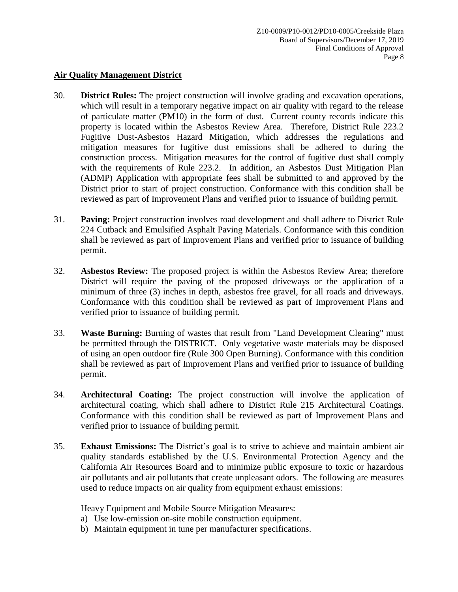#### **Air Quality Management District**

- 30. **District Rules:** The project construction will involve grading and excavation operations, which will result in a temporary negative impact on air quality with regard to the release of particulate matter (PM10) in the form of dust. Current county records indicate this property is located within the Asbestos Review Area. Therefore, District Rule 223.2 Fugitive Dust-Asbestos Hazard Mitigation, which addresses the regulations and mitigation measures for fugitive dust emissions shall be adhered to during the construction process. Mitigation measures for the control of fugitive dust shall comply with the requirements of Rule 223.2. In addition, an Asbestos Dust Mitigation Plan (ADMP) Application with appropriate fees shall be submitted to and approved by the District prior to start of project construction. Conformance with this condition shall be reviewed as part of Improvement Plans and verified prior to issuance of building permit.
- 31. **Paving:** Project construction involves road development and shall adhere to District Rule 224 Cutback and Emulsified Asphalt Paving Materials. Conformance with this condition shall be reviewed as part of Improvement Plans and verified prior to issuance of building permit.
- 32. **Asbestos Review:** The proposed project is within the Asbestos Review Area; therefore District will require the paving of the proposed driveways or the application of a minimum of three (3) inches in depth, asbestos free gravel, for all roads and driveways. Conformance with this condition shall be reviewed as part of Improvement Plans and verified prior to issuance of building permit.
- 33. **Waste Burning:** Burning of wastes that result from "Land Development Clearing" must be permitted through the DISTRICT. Only vegetative waste materials may be disposed of using an open outdoor fire (Rule 300 Open Burning). Conformance with this condition shall be reviewed as part of Improvement Plans and verified prior to issuance of building permit.
- 34. **Architectural Coating:** The project construction will involve the application of architectural coating, which shall adhere to District Rule 215 Architectural Coatings. Conformance with this condition shall be reviewed as part of Improvement Plans and verified prior to issuance of building permit.
- 35. **Exhaust Emissions:** The District's goal is to strive to achieve and maintain ambient air quality standards established by the U.S. Environmental Protection Agency and the California Air Resources Board and to minimize public exposure to toxic or hazardous air pollutants and air pollutants that create unpleasant odors. The following are measures used to reduce impacts on air quality from equipment exhaust emissions:

Heavy Equipment and Mobile Source Mitigation Measures:

- a) Use low-emission on-site mobile construction equipment.
- b) Maintain equipment in tune per manufacturer specifications.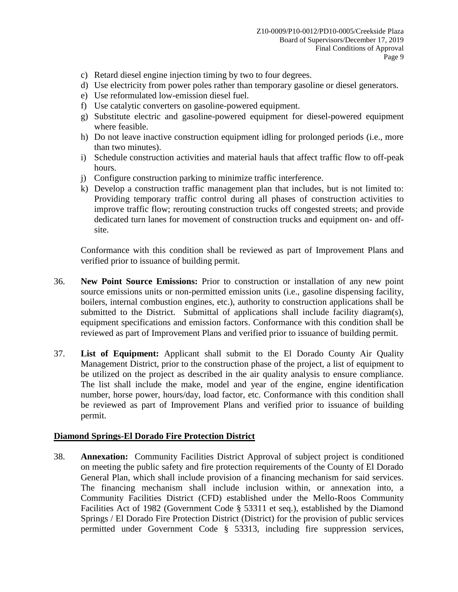- c) Retard diesel engine injection timing by two to four degrees.
- d) Use electricity from power poles rather than temporary gasoline or diesel generators.
- e) Use reformulated low-emission diesel fuel.
- f) Use catalytic converters on gasoline-powered equipment.
- g) Substitute electric and gasoline-powered equipment for diesel-powered equipment where feasible.
- h) Do not leave inactive construction equipment idling for prolonged periods (i.e., more than two minutes).
- i) Schedule construction activities and material hauls that affect traffic flow to off-peak hours.
- j) Configure construction parking to minimize traffic interference.
- k) Develop a construction traffic management plan that includes, but is not limited to: Providing temporary traffic control during all phases of construction activities to improve traffic flow; rerouting construction trucks off congested streets; and provide dedicated turn lanes for movement of construction trucks and equipment on- and offsite.

Conformance with this condition shall be reviewed as part of Improvement Plans and verified prior to issuance of building permit.

- 36. **New Point Source Emissions:** Prior to construction or installation of any new point source emissions units or non-permitted emission units (i.e., gasoline dispensing facility, boilers, internal combustion engines, etc.), authority to construction applications shall be submitted to the District. Submittal of applications shall include facility diagram(s), equipment specifications and emission factors. Conformance with this condition shall be reviewed as part of Improvement Plans and verified prior to issuance of building permit.
- 37. **List of Equipment:** Applicant shall submit to the El Dorado County Air Quality Management District, prior to the construction phase of the project, a list of equipment to be utilized on the project as described in the air quality analysis to ensure compliance. The list shall include the make, model and year of the engine, engine identification number, horse power, hours/day, load factor, etc. Conformance with this condition shall be reviewed as part of Improvement Plans and verified prior to issuance of building permit.

#### **Diamond Springs-El Dorado Fire Protection District**

38. **Annexation:** Community Facilities District Approval of subject project is conditioned on meeting the public safety and fire protection requirements of the County of El Dorado General Plan, which shall include provision of a financing mechanism for said services. The financing mechanism shall include inclusion within, or annexation into, a Community Facilities District (CFD) established under the Mello-Roos Community Facilities Act of 1982 (Government Code § 53311 et seq.), established by the Diamond Springs / El Dorado Fire Protection District (District) for the provision of public services permitted under Government Code § 53313, including fire suppression services,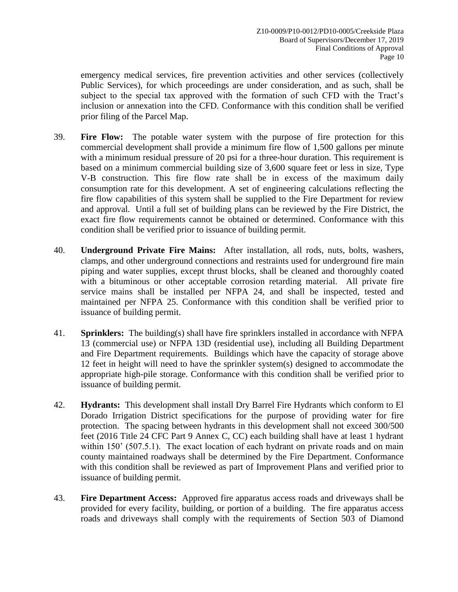emergency medical services, fire prevention activities and other services (collectively Public Services), for which proceedings are under consideration, and as such, shall be subject to the special tax approved with the formation of such CFD with the Tract's inclusion or annexation into the CFD. Conformance with this condition shall be verified prior filing of the Parcel Map.

- 39. **Fire Flow:** The potable water system with the purpose of fire protection for this commercial development shall provide a minimum fire flow of 1,500 gallons per minute with a minimum residual pressure of 20 psi for a three-hour duration. This requirement is based on a minimum commercial building size of 3,600 square feet or less in size, Type V-B construction. This fire flow rate shall be in excess of the maximum daily consumption rate for this development. A set of engineering calculations reflecting the fire flow capabilities of this system shall be supplied to the Fire Department for review and approval. Until a full set of building plans can be reviewed by the Fire District, the exact fire flow requirements cannot be obtained or determined. Conformance with this condition shall be verified prior to issuance of building permit.
- 40. **Underground Private Fire Mains:** After installation, all rods, nuts, bolts, washers, clamps, and other underground connections and restraints used for underground fire main piping and water supplies, except thrust blocks, shall be cleaned and thoroughly coated with a bituminous or other acceptable corrosion retarding material. All private fire service mains shall be installed per NFPA 24, and shall be inspected, tested and maintained per NFPA 25. Conformance with this condition shall be verified prior to issuance of building permit.
- 41. **Sprinklers:** The building(s) shall have fire sprinklers installed in accordance with NFPA 13 (commercial use) or NFPA 13D (residential use), including all Building Department and Fire Department requirements. Buildings which have the capacity of storage above 12 feet in height will need to have the sprinkler system(s) designed to accommodate the appropriate high-pile storage. Conformance with this condition shall be verified prior to issuance of building permit.
- 42. **Hydrants:** This development shall install Dry Barrel Fire Hydrants which conform to El Dorado Irrigation District specifications for the purpose of providing water for fire protection. The spacing between hydrants in this development shall not exceed 300/500 feet (2016 Title 24 CFC Part 9 Annex C, CC) each building shall have at least 1 hydrant within 150' (507.5.1). The exact location of each hydrant on private roads and on main county maintained roadways shall be determined by the Fire Department. Conformance with this condition shall be reviewed as part of Improvement Plans and verified prior to issuance of building permit.
- 43. **Fire Department Access:** Approved fire apparatus access roads and driveways shall be provided for every facility, building, or portion of a building. The fire apparatus access roads and driveways shall comply with the requirements of Section 503 of Diamond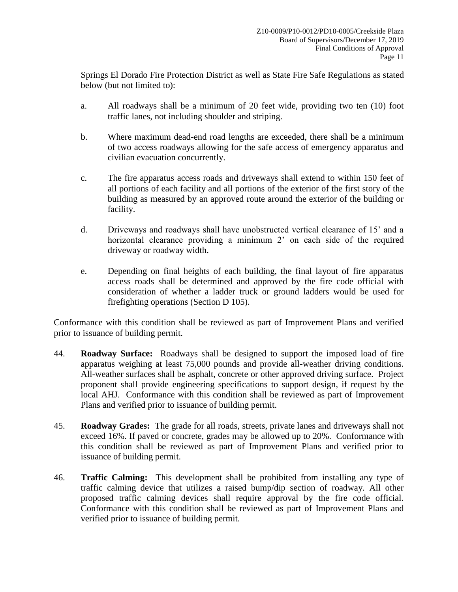Springs El Dorado Fire Protection District as well as State Fire Safe Regulations as stated below (but not limited to):

- a. All roadways shall be a minimum of 20 feet wide, providing two ten (10) foot traffic lanes, not including shoulder and striping.
- b. Where maximum dead-end road lengths are exceeded, there shall be a minimum of two access roadways allowing for the safe access of emergency apparatus and civilian evacuation concurrently.
- c. The fire apparatus access roads and driveways shall extend to within 150 feet of all portions of each facility and all portions of the exterior of the first story of the building as measured by an approved route around the exterior of the building or facility.
- d. Driveways and roadways shall have unobstructed vertical clearance of 15' and a horizontal clearance providing a minimum 2' on each side of the required driveway or roadway width.
- e. Depending on final heights of each building, the final layout of fire apparatus access roads shall be determined and approved by the fire code official with consideration of whether a ladder truck or ground ladders would be used for firefighting operations (Section D 105).

Conformance with this condition shall be reviewed as part of Improvement Plans and verified prior to issuance of building permit.

- 44. **Roadway Surface:** Roadways shall be designed to support the imposed load of fire apparatus weighing at least 75,000 pounds and provide all-weather driving conditions. All-weather surfaces shall be asphalt, concrete or other approved driving surface. Project proponent shall provide engineering specifications to support design, if request by the local AHJ. Conformance with this condition shall be reviewed as part of Improvement Plans and verified prior to issuance of building permit.
- 45. **Roadway Grades:** The grade for all roads, streets, private lanes and driveways shall not exceed 16%. If paved or concrete, grades may be allowed up to 20%. Conformance with this condition shall be reviewed as part of Improvement Plans and verified prior to issuance of building permit.
- 46. **Traffic Calming:** This development shall be prohibited from installing any type of traffic calming device that utilizes a raised bump/dip section of roadway. All other proposed traffic calming devices shall require approval by the fire code official. Conformance with this condition shall be reviewed as part of Improvement Plans and verified prior to issuance of building permit.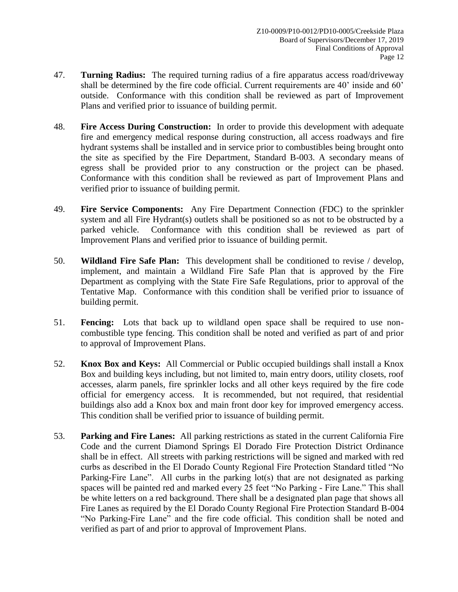- 47. **Turning Radius:** The required turning radius of a fire apparatus access road/driveway shall be determined by the fire code official. Current requirements are 40' inside and 60' outside. Conformance with this condition shall be reviewed as part of Improvement Plans and verified prior to issuance of building permit.
- 48. **Fire Access During Construction:** In order to provide this development with adequate fire and emergency medical response during construction, all access roadways and fire hydrant systems shall be installed and in service prior to combustibles being brought onto the site as specified by the Fire Department, Standard B-003. A secondary means of egress shall be provided prior to any construction or the project can be phased. Conformance with this condition shall be reviewed as part of Improvement Plans and verified prior to issuance of building permit.
- 49. **Fire Service Components:** Any Fire Department Connection (FDC) to the sprinkler system and all Fire Hydrant(s) outlets shall be positioned so as not to be obstructed by a parked vehicle. Conformance with this condition shall be reviewed as part of Improvement Plans and verified prior to issuance of building permit.
- 50. **Wildland Fire Safe Plan:** This development shall be conditioned to revise / develop, implement, and maintain a Wildland Fire Safe Plan that is approved by the Fire Department as complying with the State Fire Safe Regulations, prior to approval of the Tentative Map. Conformance with this condition shall be verified prior to issuance of building permit.
- 51. **Fencing:** Lots that back up to wildland open space shall be required to use noncombustible type fencing. This condition shall be noted and verified as part of and prior to approval of Improvement Plans.
- 52. **Knox Box and Keys:** All Commercial or Public occupied buildings shall install a Knox Box and building keys including, but not limited to, main entry doors, utility closets, roof accesses, alarm panels, fire sprinkler locks and all other keys required by the fire code official for emergency access. It is recommended, but not required, that residential buildings also add a Knox box and main front door key for improved emergency access. This condition shall be verified prior to issuance of building permit.
- 53. **Parking and Fire Lanes:** All parking restrictions as stated in the current California Fire Code and the current Diamond Springs El Dorado Fire Protection District Ordinance shall be in effect. All streets with parking restrictions will be signed and marked with red curbs as described in the El Dorado County Regional Fire Protection Standard titled "No Parking-Fire Lane". All curbs in the parking lot(s) that are not designated as parking spaces will be painted red and marked every 25 feet "No Parking - Fire Lane." This shall be white letters on a red background. There shall be a designated plan page that shows all Fire Lanes as required by the El Dorado County Regional Fire Protection Standard B-004 "No Parking-Fire Lane" and the fire code official. This condition shall be noted and verified as part of and prior to approval of Improvement Plans.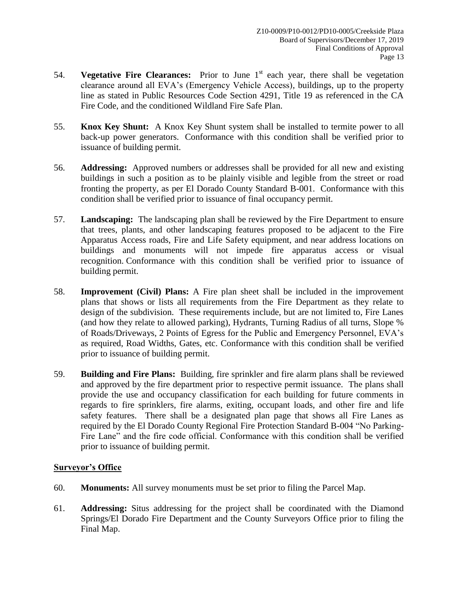- 54. **Vegetative Fire Clearances:** Prior to June 1<sup>st</sup> each year, there shall be vegetation clearance around all EVA's (Emergency Vehicle Access), buildings, up to the property line as stated in Public Resources Code Section 4291, Title 19 as referenced in the CA Fire Code, and the conditioned Wildland Fire Safe Plan.
- 55. **Knox Key Shunt:** A Knox Key Shunt system shall be installed to termite power to all back-up power generators. Conformance with this condition shall be verified prior to issuance of building permit.
- 56. **Addressing:** Approved numbers or addresses shall be provided for all new and existing buildings in such a position as to be plainly visible and legible from the street or road fronting the property, as per El Dorado County Standard B-001. Conformance with this condition shall be verified prior to issuance of final occupancy permit.
- 57. **Landscaping:** The landscaping plan shall be reviewed by the Fire Department to ensure that trees, plants, and other landscaping features proposed to be adjacent to the Fire Apparatus Access roads, Fire and Life Safety equipment, and near address locations on buildings and monuments will not impede fire apparatus access or visual recognition. Conformance with this condition shall be verified prior to issuance of building permit.
- 58. **Improvement (Civil) Plans:** A Fire plan sheet shall be included in the improvement plans that shows or lists all requirements from the Fire Department as they relate to design of the subdivision. These requirements include, but are not limited to, Fire Lanes (and how they relate to allowed parking), Hydrants, Turning Radius of all turns, Slope % of Roads/Driveways, 2 Points of Egress for the Public and Emergency Personnel, EVA's as required, Road Widths, Gates, etc. Conformance with this condition shall be verified prior to issuance of building permit.
- 59. **Building and Fire Plans:** Building, fire sprinkler and fire alarm plans shall be reviewed and approved by the fire department prior to respective permit issuance. The plans shall provide the use and occupancy classification for each building for future comments in regards to fire sprinklers, fire alarms, exiting, occupant loads, and other fire and life safety features. There shall be a designated plan page that shows all Fire Lanes as required by the El Dorado County Regional Fire Protection Standard B-004 "No Parking-Fire Lane" and the fire code official. Conformance with this condition shall be verified prior to issuance of building permit.

# **Surveyor's Office**

- 60. **Monuments:** All survey monuments must be set prior to filing the Parcel Map.
- 61. **Addressing:** Situs addressing for the project shall be coordinated with the Diamond Springs/El Dorado Fire Department and the County Surveyors Office prior to filing the Final Map.